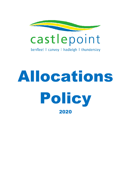

benfleet | canvey | hadleigh | thundersley

# Allocations Policy 2020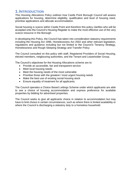## **1. INTRODUCTION**

This Housing Allocations Policy outlines how Castle Point Borough Council will assess applications for housing, determine eligibility, qualification and level of housing need, prioritise applications and allocate accommodation.

Social housing is scarce within Castle Point and therefore this policy clarifies who will be accepted onto the Council's Housing Register to make the most effective use of the very scarce resource in the Borough.

In developing this Policy, the Council has taken into consideration statutory requirements including the Housing Act 1996, Homelessness Act 2002 and other relevant legislation, regulations and guidance including but not limited to the Council's Tenancy Strategy, Homelessness and Rough Sleeping Strategy and Transfer Policy.

The Council consulted on this policy with staff, Registered Providers of Social Housing, elected members, neigbouring authorities, and the Tenant and Leaseholder Group.

The Council's objectives for the Housing Allocations scheme are to:

- Provide an accessible, fair and transparent service
- Meet local housing needs
- Meet the housing needs of the most vulnerable
- Prioritise those with the greatest / most urgent housing needs
- Make the best use of existing social housing stock
- Ensure equality of treatment for all applicants.

The Council operates a Choice Based Lettings Scheme under which applicants are able to see a choice of housing accommodation and express preference for available properties by bidding for advertised properties.

The Council seeks to give all applicants choice in relation to accommodation but may have to limit choice in certain circumstances, such as where there is limited availability or where the Council is discharging a statutory duty to a homeless household.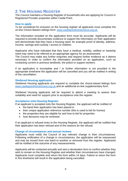## **2. THE HOUSING REGISTER**

The Council maintains a Housing Register of households who are applying for Council or Registered Provider properties within Castle Point.

#### **How to apply:**

To be considered for inclusion on the housing register all applicants must complete the on-line Choice Based Lettings form: [www.castlepointhomechoice.org.uk.](http://www.castlepointhomechoice.org.uk/)

The information included on the application form must be accurate. Applicants will be required to provide documentary evidence to support the information on their application and demonstrate that they have a housing need, for example proof of identity, address, income, savings and custody / access to children.

Applicants who have indicated that they have a medical, mobility, welfare or hardship need may need to be referred to an appropriate agency for an assessment.

The Council may make any further enquiries and request further evidence as it deems necessary in order to confirm the information provided on an application, such as contacting current or previous landlords, the police or support workers.

If an application is incomplete and / or further information is not provided in the appropriate timeframe the application will be cancelled and you will be notified in writing of the cancellation.

#### **Sheltered Housing applicants:**

Sheltered Housing applicants are required to complete the choice-based lettings form [www.castlepointhomechoice.org.uk](http://www.castlepointhomechoice.org.uk/) and an additional on-line supplementary form.

Sheltered Housing applicants will be required to attend a meeting to assess their suitability and need for support prior to acceptance onto the register.

#### **Acceptance onto Housing Register:**

If an applicant is accepted onto the Housing Register, the applicant will be notified of;

- the band their application has been placed in
- their unique application reference number (this is used to bid for homes)
- the properties they are eligible for and how to bid for properties
- how decisions may be reviewed.

If an applicant is refused entry to the Housing Register, the applicant will be notified that their application has been refused and of the reasons for the refusal.

#### **Change of circumstances and annual reviews:**

Applicants must notify the Council of any relevant change in their circumstances. Following notification of a change in circumstances, the application will be reassessed and may be moved from one band to another or removed from the register. Applicants will be notified of the outcome of any reassessments.

Applicants will be contacted annually and sent a declaration form to confirm whether they wish to remain on the Housing Register and whether their circumstances have changed. Applicants must complete and return the form within 14 days. Failure to return the form in this timeframe will result in the application being cancelled.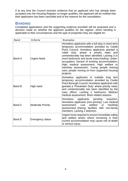If at any time the Council receives evidence that an applicant who has already been accepted onto the Housing Register no longer qualifies, the applicant will be notified that their application has been cancelled and of the reasons for the cancellation.

## **BANDING**

Completed applications and the supporting evidence provided will be assessed and a decision made on whether the applicant qualifies for the register, which banding is applicable to their circumstances and the type of properties they are eligible for.

| <b>Band</b> | <b>Criteria</b>          | <b>Examples</b>                                                                                                                                                                                                                                                                                                                                                                                                                                                                                              |
|-------------|--------------------------|--------------------------------------------------------------------------------------------------------------------------------------------------------------------------------------------------------------------------------------------------------------------------------------------------------------------------------------------------------------------------------------------------------------------------------------------------------------------------------------------------------------|
| Band A      | <b>Urgent Need</b>       | Homeless applicants with a full duty in short term<br>temporary accommodation provided by Castle<br>Point Council; Homeless applicants granted a<br>'relief duty' where a priority need<br>and<br>unintentionality has been identified; Lacking 3 or<br>more bedrooms and acute overcrowding; Under-<br>occupation; Decant of existing accommodation;<br>High medical assessment; High welfare or<br>hardship assessment; Young people leaving<br>care; people moving on from supported housing<br>projects. |
| Band B      | High need                | Homeless applicants in suitable<br>$long$ tern<br>temporary accommodation provided by Castle<br>Point Borough Council; Homeless applicants with<br>granted a 'Prevention Duty' where priority need,<br>and unintentionality has been identified by the<br>case officer; Lacking 2 bedrooms; Medium<br>medical assessment; Work related reasons.                                                                                                                                                              |
| Band C      | <b>Moderate Priority</b> | applicants pending<br>Homeless<br>enquiries;<br>Homeless applicants (non-priority); Low medical<br>assessment; Low welfare<br>hardship<br>or<br>assessment; sharing facilities with non-family<br>members; Lacking 1 bedroom.                                                                                                                                                                                                                                                                                |
| Band E      | <b>Emergency status</b>  | Urgent move required to ensure immediate safety<br>and welfare and/or where remaining in their<br>current accommodation may cause risk of death<br>or serious injury.                                                                                                                                                                                                                                                                                                                                        |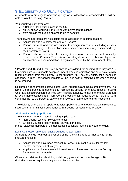## **3.ELIGIBILITY AND QUALIFICATION**

Applicants who are eligible and who qualify for an allocation of accommodation will be able to join the Housing Register.

You usually qualify if you are:

- a British or Irish citizen living in the UK
- an EU citizen working in the UK or with permanent residence
- from outside the EU but allowed to claim benefits

The following applicants are not eligible for an allocation of accommodation:

- Applicants who are below the age of 16 years\*
- Persons from abroad who are subject to immigration control (excluding classes prescribed as eligible for an allocation of accommodation in regulations made by the Secretary of State)
- Persons who are not subject to immigration control, but who are not habitually resident in the Common Travel Area (excluding classes prescribed as eligible for an allocation of accommodation in regulations made by the Secretary of State)

\* People aged 16 and 17 will usually only be considered for housing after they are 18. Exceptions are young people accepted under homeless legislation and care leavers (with recommendation from their 'parent' Local Authority). NB They only qualify for a licence or a tenancy in trust. Their application date will be used as their effective date when banding is determined.

Reciprocal arrangements exist with other Local Authorities and Registered Providers. The aim of the reciprocal arrangement is to increase the options for tenants in social housing who have a secure/assured or fixed term / flexible tenancy, to move to another Borough to avoid homelessness and increase safe options for households at risk due to a confirmed risk to the personal safety of themselves or a member of their household.

The eligibility criteria do not apply to transfer applicants who already hold an introductory, secure, starter or full assured tenancy with a Council or Registered Provider.

#### **Sheltered Housing applicants:**

The minimum age for sheltered housing applicants is:

- Non-Council tenants: 60 years or older
- Existing Council property tenant: 55 years or older.

In both cases all members of the applicant's household must be 50 years or older.

#### Local Connection criteria for sheltered housing applicants

Applicants who do not meet at least one of the following criteria will not qualify for the sheltered housing.

- Applicants who have been resident in Castle Point continuously for the last 6 months, or three out of five years.
- Applicants who have \*close adult relatives who have been resident in Borough for at least the 12 months.

Close adult relatives include siblings, children, grandchildren over the age of 18 (including the step equivalents) great aunties and uncles.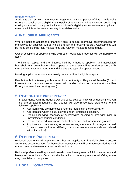#### **Eligibility review:**

Applicants can remain on the Housing Register for varying periods of time. Castle Point Borough Council assess eligibility at the point of application and again when considering making an allocation. It is possible for an applicant's eligibility status to change. Applicants must be eligible at the time a property is available to them.

## **4. INELIGIBLE APPLICANTS**

Where a housing applicant is financially able to secure alternative accommodation for themselves an applicant will be ineligible to join the housing register. Assessments will be made considering local market rents and relevant market trends and data.

Owner occupiers or applicants who own other residential properties will be ineligible to apply.

The income, capital and / or interest held by a housing applicant and associated household in a current home, other property or other assets will be considered along with their ability to secure a mortgage and the size and type of property needed.

Housing applicants who are adequately housed will be ineligible to apply.

People that hold a tenancy with another Local Authority or Registered Provider (Except in exceptional circumstances or where their Landlord does not have the stock within Borough to meet their housing need).

### **5. REASONABLE PREFERENCE:**

In accordance with the Housing Act this policy sets out how, when deciding who will be offered accommodation, the Council will give reasonable preference to the following applicants:

- Applicants who are homeless under the meaning in the Housing Act
- Applicants to whom a duty is owed under Homeless legislation.
- People occupying insanitary or overcrowded housing or otherwise living in unsatisfactory housing conditions
- People who need to move on medical or welfare and /or hardship grounds
- Applicants who are serving or former serving members of the regular armed forces or reserve forces (differing circumstances are separately considered within the policy).

## **6. REDUCED PREFERENCE**

Reduced preference will apply where a housing applicant is financially able to secure alternative accommodation for themselves. Assessments will be made considering local market rents and relevant market trends and data.

Reduced preference will apply to those who have been granted a full homeless duty and have previous incidents of unacceptable behaviour or under a prevent or relief duty where they have failed to cooperate.

## **7. LOCAL CONNECTION**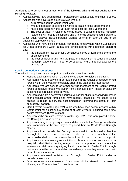Applicants who do not meet at least one of the following criteria will not qualify for the Housing Register.

- Applicants who have been resident in Castle Point continuously for the last 5 years.
- Applicants who have close adult relatives who are;
	- o currently resident in Castle Point; and
	- o who are in receipt of carers allowance in relation to the applicant; and
	- o have been resident in the Borough for at least the last 5 years; and
	- o The cost of travel in relation to caring duties is causing financial hardship (evidence will need to be supplied and a financial assessment undertaken). Close adult relatives include parents, siblings or children over the age of 18

(including step equivalents).

- Applicants who have paid permanent contracted employment within Castlepoint for 24 hours or more a week (16 hours for single parents with dependent children) and:
	- o the employment has been for a continuous period of 12 months prior to the application; and
	- $\circ$  the cost of travel to and from the place of employment is causing financial hardship (evidence will need to be supplied and a financial assessment undertaken).

#### **Local Connection Exemptions:**

The following applicants are exempt from the local connection criteria:

- Housing applicants to whom a duty is owed under Homeless legislation.
- Applicants who are serving in or have served in the regular or reserve armed forces within the 5 years immediately prior to the date of their application.
- Applicants who are serving or former serving members of the regular armed forces or reserve forces who suffer from a serious injury, illness or disability sustained as a result of their service.
- Applicants who are a bereaved spouse/civil partner of a former serving member of the regular armed forces and have recently ceased or will cease to be entitled to reside in services accommodation following the death of their spouse/civil partner.
- Care Leavers below the age of 21 years who have been accommodated within Castle Point for a continuous period of at least 2 years (including some time before they were 16 years of age).
- Applicants who are care leavers below the age of 25, who were placed outside the Borough but wish to return.
- Applicants living in temporary accommodation outside the Borough who had a local connection at the time they were placed there by Castle Point Borough Council.
- Applicants from outside the Borough who need to be housed within the Borough to receive care or support for themselves or a member of the household and where it is unreasonable to travel to receive the care or support.
- Applicants who are leaving an institution such as a prison or secure unit or a hospital, rehabilitation centre, refuge, hostel or supported accommodation scheme and did have a qualifying local connection to Castle Point through residence in settled accommodation immediately before they moved into their current accommodation.
- Applicants rehoused outside the Borough of Castle Point under a homelessness duty.
- Other exceptional circumstances (such cases will be referred to the Head of Housing and Communities for consideration).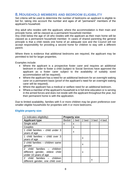### **8. HOUSEHOLD MEMBERS AND BEDROOM ELIGIBILITY**

Set criteria will be used to determine the number of bedrooms an applicant is eligible to bid for, taking into account the number and ages of all "permanent" members of the applicant's household.

Any adult who resides with the applicant, where the accommodation is their main and principle home, will be classed as a permanent household member.

Any child below the age of 18 who resides with the applicant as their main home will be classed as a permanent household member. In cases of shared parenting the general principle is that a child needs one home of an adequate size and the Council will not accept responsibility for providing a second home for children to stay with a different parent.

Where there is evidence that additional bedrooms are required, the applicant may be permitted to bid for larger properties.

Examples include:

- Where the applicant is a prospective foster carer and requires an additional bedroom in order to foster a child (subject to Social Services have approved the applicant as a foster carer subject to the availability of suitably sized accommodation will be required).
- Where the applicant has a need for an additional bedroom for an overnight waking carer on a permanent basis (proof of the applicant's need for an overnight waking carer will be required).
- Where the applicant has a medical or welfare need for an additional bedroom.
- Where a member of the applicant's household is in full-time education or is serving in the armed forces and does not reside with the applicant throughout the year, but their permanent home is with the application.

Due to limited availability, families with 5 or more children may be given preference over smaller eligible households for properties with 4 or more bedrooms.

| (x indicates eligibility)          | <b>Property size</b> |                |       |       |       |
|------------------------------------|----------------------|----------------|-------|-------|-------|
| <b>Applicant type</b>              |                      | Bedsit   1 bed | 2 bed | 3 bed | 4 bed |
| Single adult                       | X                    | x              |       |       |       |
| Couples                            |                      | X              |       |       |       |
| 1 child families $-$ child under 3 |                      | X              |       |       |       |
| years of age                       |                      |                |       |       |       |
| 1 child families - child over 3    |                      |                | X     |       |       |
| years of age                       |                      |                |       |       |       |
| 2 child families - children same   |                      |                | x     |       |       |
| gender                             |                      |                |       |       |       |
| 2 child families - children        |                      |                |       |       |       |
| different gender, eldest child     |                      |                | X     |       |       |
| under 10 years of age              |                      |                |       |       |       |
| 2 child families - children        |                      |                |       | X     |       |
| different gender, one child over   |                      |                |       |       |       |

#### **Eligible property size:**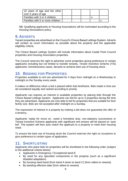| 10 years of age and the other   <br>over 5 years of age |  |  |  |
|---------------------------------------------------------|--|--|--|
| Families with 3 or 4 children                           |  |  |  |
| Families with 5 or more children                        |  |  |  |

NB: Qualifying applicants to Housing Associations will be nominated according to the Housing Associations policy.

## **9. ADVERTS**

Vacant properties are advertised on the Council's Choice Based Lettings System. Adverts will contain as much information as possible about the property and the applicable eligibility criteria.

The Choice Based Lettings System will include information about Castle Point Council properties and Housing Association properties.

The Council reserves the right to advertise some properties giving preference to certain applicants including but not limited to transfer tenants, Tenant Incentive Scheme (TIS) applicants, homelessness cases, decants to achieve best use of housing stock.

## **10. BIDDING FOR PROPERTIES**

Properties available to rent are advertised for 4 days from midnight on a Wednesday to midnight on the Sunday every week.

It makes no difference when a bid is placed within that timeframe. Bids made in time are all considered equally and ranked according to priority.

Applicants can express an interest in available properties by placing bids through the Choice Based Lettings System. Applicants can bid for up to 3 properties during the time they are advertised. Applicants are only able to bid for properties that are suitable for their family size. Bids are not accepted after midnight on a Sunday.

The expression of interest in a property by making a bid does not guarantee the offer of a tenancy.

Applicants 'ready for move on', owed a homeless duty, non-statutory successions or Tenant Incentive Scheme applicants with significant rent arrears will be placed on 'auto bid'. The system will then auto match the applicant to a property to meet their housing need.

To ensure the best use of housing stock the Council reserves the right on occasions to give preference to certain types of application.

## **11. SHORTLISTING**

Applicants who place bids for properties will be shortlisted in the following order (subject to the additional criteria below):

- Applicants in Emergency / Exceptional band E
- By need for any specialist components in the property (such as a significant disabled adaptation)
- By housing need band (from band A down to band C) (from oldest to newest).
- By banding effective date (from oldest to newest)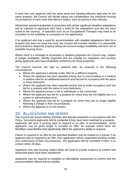If more than one applicant with the same band and banding effective date bids for the same property, the Council will decide taking into consideration the individual housing circumstances of each case and relevant factors, such as previous offer refusals.

Wheelchair standard properties or properties with similar significant disabled adaptations will be matched to applicants who have a need for the adaptations and who are most suited to the vacancy. A specialist such as an Occupational Therapist may need to be consulted on the suitability of a property for the applicant(s).

If an applicant who has a need for accommodation with disabled adaptations bids for a property that does not meet this need, the Council will consider whether it is reasonable and practical to adapt the property taking into account budget availability and best use of available housing stock.

Where there is a shortage of accessible or adapted properties the Council may, subject to budget availability, identify properties that are suitable for adaptation and consider giving applicants who have disabilities preference for these properties.

The Council reserves the right to overlook bids, for example in the following circumstances:

- Where the applicant is already under offer for a different property.
- Where the applicant has been awarded priority due to overcrowding or a medical or welfare need for an additional bedroom and has bid for a property with the same or fewer bedrooms.
- Where the applicant has been awarded priority due to under-occupancy and has bid for a property with the same or more bedrooms.
- Where the applicant poses a risk to individuals or the community.
- Where the applicant has bid for a property for which they are not eligible due to a system or administrative error.
- Where the applicant has bid for a property for which they are no longer eligible following a change in their circumstances.
- Where the applicant is in rent arrears.

## **12. ALLOCATIONS AND OFFERS**

The Council will review bidding shortlists and allocate properties in accordance with this Policy. Successful applicants will be contacted if they have been matched to a property. Applicants will have 2 working days to respond to an offer of accommodation. Some applicants may be given longer to consider an offer, for example where there are identified vulnerabilities that significantly affect the applicant's ability to respond.

Failure to respond to an offer by the specified deadline may be treated as a refusal. If an applicant fails to respond to an offer, their application will be suspended pending contact and confirmation of their circumstances. The application will be cancelled if there is no contact within 28 days.

Applicants who owe housing related debts will need to provide evidence to confirm that repayment plans have been maintained.

Applicants may be required to complete an affordability assessment to confirm that the accommodation offered will be suitable.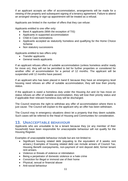If an applicant accepts an offer of accommodation, arrangements will be made for a viewing of the property and subsequent signing of a tenancy agreement. Failure to attend an arranged viewing or sign-up appointment will be treated as a refusal.

Applicants are limited in the number of offers that they can refuse:

Applicants entitled to one offer only:

- Band A applicants (With the exception of TIS)
- Applicants in supported accommodation
- Child in Care nominations
- Applicants accepted as statutorily homeless and qualifying for the Home Choice Scheme
- Non statutory successions

Applicants entitled to two offers only:

- Transfer applicants
- General needs applicants

If an applicant refuses offers of suitable accommodation (unless homeless and/or ready for move on), they will not be permitted to bid for further properties or considered for another offer of accommodation for a period of 12 months. The applicant will be suspended until 12 months have passed.

If an applicant who has been placed in band E because they have an emergency level housing need refuses an offer of suitable accommodation, they will lose their priority status.

If the applicant is owed a homeless duty under the Housing Act and /or has move on status refuses an offer of suitable accommodation, they will lose their priority status and if applicable their relevant homeless duty will be discharged.

The Council reserves the right to withdraw any offer of accommodation where there is just cause. The Council will explain to the applicant why an offer has been withdrawn.

The Council may in emergency situations direct let a property that they deem suitable. Such cases will be referred to the Head of Housing and Communities for consideration.

### **13. UNACCEPTABLE BEHAVIOUR**

Applicants who are unsuitable to be a tenant because they (or any member of their household) have been responsible for unacceptable behaviour will not qualify for the Housing Register.

Examples of unacceptable behaviour include but are not limited to:

- Significant housing related debt (equating to the equivalent of 8 weeks rent arrears,) Examples of housing related debt can include arrears of Council Tax, Housing Benefit overpayments, non-payment of rent deposit debt, former tenant rent arrears.
- Violence or threats of violence or intimidation
- Being a perpetrator of domestic violence or a hate crime
- Conviction for illegal or immoral use of their home
- Physical, sexual or financial abuse
- Anti-social behaviour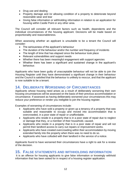- Drug use and dealing
- Property damage and /or allowing condition of a property to deteriorate beyond reasonable wear and tear
- Giving false information or withholding information in relation to an application for housing within Castle Point or any other area.

The Council will consider all relevant factors such as health, dependents and the individual circumstances of the housing applicant. Decisions will be made based on proportionality and reasonableness.

When assessing whether an applicant is unsuitable to be a tenant the Council will consider:

- The seriousness of the applicant's behaviour
- The duration of the behaviour and/or the number and frequency of incidents
- The length of time that has elapsed since the behaviour took place
- Relevant vulnerabilities and support needs
- Whether there has been meaningful engagement with support agencies
- Whether there has been a significant and sustained change in the applicant's behaviour.

Applicants who have been guilty of unacceptable behaviour will not be able to join the Housing Register until they have demonstrated a significant change in their behaviour and the Council is satisfied that the behaviour is unlikely to reoccur, and that the applicant is now suitable to be a tenant.

## **14. DELIBERATE WORSENING OF CIRCUMSTANCES**

Applicants whose housing need arises as a result of deliberately worsening their own housing circumstances will be assessed on the basis of their previous accommodation or circumstance. If assessed as having deliberately worsened your circumstances this may reduce your preference or render you ineligible to join the housing register.

Examples of worsening of circumstances include:

- Applicants who have sold a property or given up a tenancy of a property that was suitable and reasonable to occupy and moved into accommodation that is overcrowded, in a poor state of repair or unaffordable.
- Applicants who reside in a property that is in a poor state of repair due to neglect or damage that they, or a member of their household, caused.
- Applicants who reside in a property that is in a poor state of repair and will not permit their landlord access to carry out repairs or improvement works.
- Applicants who have created overcrowding within their accommodation by moving extended family into the property when there was no need to do so.
- Applicants who have colluded with their landlord in the service of a notice.

Applicants found to have worsened their circumstances have a right to ask for a review of the decision.

## **15. FALSE STATEMENTS AND WITHHOLDING INFORMATION**

It is an offence for housing applicants to give false information or knowingly withhold information that has been asked for in respect of a housing register application.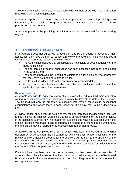The Council may take action against applicants who withhold or provide false information regarding their housing application.

Where an applicant has been allocated a property as a result of providing false information, the Council or Registered Provider may take court action to obtain possession of the property.

Applicants proven to be providing false information will be excluded from the housing register.

## **16. REVIEWS AND APPEALS**

If an applicant does not agree with a decision made by the Council in respect of their application, they have the right to request a review of the decision. The circumstances in which an applicant may request a review include:

- The Council has decided that an applicant is not eligible or does not qualify for the Housing Register.
- The applicant believes their application has been assessed incorrectly and placed in the wrong Band.
- The applicant believes they should be eligible to bid for a size or type of property that they have not been permitted to bid for.
- The Council has decided to withdraw an offer of accommodation.
- An application has been cancelled and the applicant's request to have the application reinstated has been refused.

#### **Review process:**

Applicants who wish to request a review of a decision will need to submit their request in writing to **housingadvice@castlepoint.gov.uk** within 14 days of the date of the decision. The Council will only be prepared to consider late review requests in exceptional circumstances and where there is good reason for the delay, the Councils decision is final.

A review request should include details of why the applicant feels the decision is incorrect and any points the applicant wants the Council to consider when carrying out the review. If the applicant submits new information or evidence that was not available when the original decision was made, such as information relating to a change in circumstances, the application may be referred for a reassessment rather than a review.

All reviews will be completed by a Senior Officer who was not involved in the original decision. A review will normally be carried out within 56 days. Written notification of the review decision, including grounds for the decision, will be sent to the applicant at the correspondence address provided for their application. If the applicant does not have a correspondence address, a copy of the letter will be made available for collection from the Council Offices for period of at least 21 days.

If an applicant has been matched for a property but has been refused an offer of accommodation by a Registered Provider, they should make a request to the Registered Provider in the first instance to review its decision. Each Registered Provider operates its own appeals process.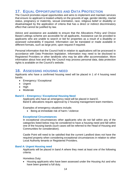## **17. EQUAL OPPORTUNITIES AND DATA PROTECTION**

The Council promotes equal opportunities and aims to implement and maintain services that ensure no applicant is treated unfairly on the grounds of age, gender identity, marital status, pregnancy or maternity, sexual orientation, race, religious belief or disability or disadvantaged by the application of criteria that has a direct or indirect discriminatory effect that cannot be justified by law.

Advice and assistance are available to ensure that the Allocations Policy and Choice Based Lettings scheme are accessible for all applicants. Assistance can be provided to applicants who are unable to search or bid for properties as a result of a disability or assessed vulnerability if required. Information can be translated or made available in different formats, such as large print, upon request if required.

Personal information that the Council hold in relation to applications will be processed in accordance with Data Protection legislation. Information may need to be disclosed to Registered Providers or other landlords who may be able offer accommodation. More information about how and why the Council may process personal data, data protection rights is available on the Council's website.

## **18. ASSESSING HOUSING NEED**

Applicants who have a confirmed housing need will be placed in 1 of 4 housing need bands:

- Emergency / Exceptional
- Urgent
- High
- Moderate

#### **Band E – Emergency / Exceptional Housing Need**

Applicants who have an emergency need will be placed in band E. Band E allocations require approval by 2 housing management team members.

Examples of emergency situations include;

• Being at immediate risk of harm / violence

#### **Exceptional Circumstances**

In exceptional circumstances other applicants who do not fall within any of the categories listed below may be considered to have a housing need and fall within one of the housing bands (such cases will be referred to the Head of Housing and Communities for consideration).

Castle Point will need to be satisfied that the current Landlord does not have the required property when considering exceptional circumstances in relation to other Local Authority tenants or Registered Providers.

#### **Band A: Urgent Housing need**

Applicants will be placed in band A where they meet at least one of the following criteria:

#### Homeless Duty:

• Housing applicants who have been assessed under the Housing Act and who have been granted a full duty.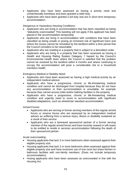- Applicants who have been assessed as having a priority need and unintentionally homeless and been granted a relief duty
- Applicants who have been granted a full duty and are in short term temporary accommodation.

Dangerous or Hazardous Housing Conditions:

- Applicants who are living in accommodation that has been classified as being "statutorily overcrowded" This banding will not apply if the applicant has been placed in the accommodation temporarily
- Applicants who are living in accommodation with conditions that have been classified as being unsafe or posing an imminent risk of significant harm and where the issues cannot be remedied by the landlord within a time period that the Council considers to be reasonable.
- Applicants who are residing in a property that is subject to a demolition order.
- Applicants who are living in a property that has been assessed as having a Health and Housing Rating System Category 1 hazard by the Council's Environmental Health team where the Council is satisfied that the problem cannot be resolved by the landlord within 6 months and where continuing to occupy the accommodation will pose a considerable risk to a household members health.

Emergency Medical or Mobility Need:

- Applicants who have been assessed as having a high medical priority by an independent medical advisor.
- Applicants who have a progressive, chronic or life-threatening medical condition and cannot be discharged from hospital because they do not have any accommodation or their accommodation is unsuitable, for example because they cannot access toilet and/or bathing facilities in the property.
- Applicants who have a progressive, chronic or life-threatening medical condition and urgently need to move to accommodation with significant disabled adaptations, such as wheelchair standard accommodation.

Armed Forces:

- Applicants who are serving or former serving members of the regular armed forces or reserve forces who are assessed by an independent medical advisor as suffering from a serious injury, illness or disability sustained as a result of their service
- Applicants who are a bereaved spouse/civil partner of a former serving member of the regular armed forces and have recently ceased or will cease to be entitled to reside in services accommodation following the death of their spouse/civil partner.

Acute overcrowding:

- Housing applicants that lack 3 or more bedrooms when assessed against their eligible property size.
- Housing applicants that lack 2 or more bedrooms when assessed against their eligible property size and have exclusive use of one room but share kitchen or bathroom facilities with non-family members. (Does not include temporary accommodation).
- Hosing applicants who have been assesses as overcrowded in line with the Housing Act.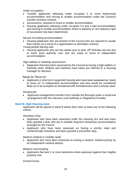Under occupation:

- Transfer applicants releasing under occupied 2 or more bedroomed accommodation and moving to smaller accommodation under the Council's transfer incentive scheme.
- Successions, required to move to smaller accommodation
- Housing applicants releasing under occupied 2,3 and 4 bed accommodation and moving to smaller accommodation where a statutory or non-statutory right of succession has been determined.

Decant of existing accommodation

• Housing applicants who are tenants of the Council who are required to vacate their homes as a result of a regeneration or demolition scheme.

Young people leaving care

• Housing applicants who are two weeks prior to their 18<sup>th</sup> birthday and are due to leave local authority care and are ready to move to independent accommodation.

High welfare or hardship assessment

• Applicants that have been assessed by the Council as having a high welfare or hardship need. Welfare and hardship need cases are referred to a Housing manager for decision.

Ready for "Move-On"

• Applicants in short term supported housing who have been assessed as 'ready to move on' to independent accommodation and who would be considered likely as to be accepted as threatened with homelessness and in priority need.

**Reciprocals** 

• Approved management transfers from outside the Borough under a reciprocal arrangement with the relevant Local Authority or Registered Provider.

#### **Band B: High Housing need**

Applicants will be placed in band B where they meet at least one of the following criteria:

Homeless Duty:

- Applicants who have been assessed under the Housing Act and who have been granted a duty who are in suitable long-term temporary accommodation arranged by the Council
- Applicants who have been assessed as having a priority need and unintentionally homeless and been granted a prevention duty.

Medium medical or mobility need:

• Applicants who have been assessed as having a medium medical priority by an independent medical advisor.

Medium overcrowding

• Applicants that lack 2 or more bedrooms when assessed against their eligible property size.

Armed Forces: